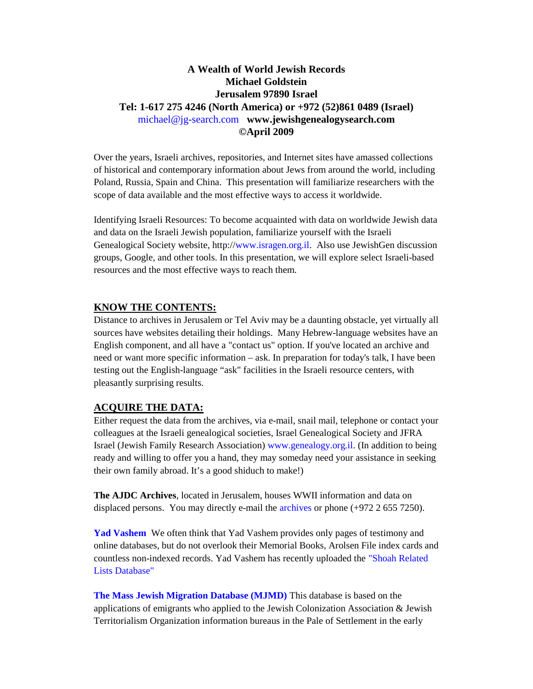## **A Wealth of World Jewish Records Michael Goldstein Jerusalem 97890 Israel Tel: 1-617 275 4246 (North America) or +972 (52)861 0489 (Israel)** michael@jg-search.com **www.jewishgenealogysearch.com ©April 2009**

Over the years, Israeli archives, repositories, and Internet sites have amassed collections of historical and contemporary information about Jews from around the world, including Poland, Russia, Spain and China. This presentation will familiarize researchers with the scope of data available and the most effective ways to access it worldwide.

Identifying Israeli Resources: To become acquainted with data on worldwide Jewish data and data on the Israeli Jewish population, familiarize yourself with the Israeli Genealogical Society website, http://www.isragen.org.il. Also use JewishGen discussion groups, Google, and other tools. In this presentation, we will explore select Israeli-based resources and the most effective ways to reach them.

### **KNOW THE CONTENTS:**

Distance to archives in Jerusalem or Tel Aviv may be a daunting obstacle, yet virtually all sources have websites detailing their holdings. Many Hebrew-language websites have an English component, and all have a "contact us" option. If you've located an archive and need or want more specific information – ask. In preparation for today's talk, I have been testing out the English-language "ask" facilities in the Israeli resource centers, with pleasantly surprising results.

### **ACQUIRE THE DATA:**

Either request the data from the archives, via e-mail, snail mail, telephone or contact your colleagues at the Israeli genealogical societies, Israel Genealogical Society and JFRA Israel (Jewish Family Research Association) www.genealogy.org.il. (In addition to being ready and willing to offer you a hand, they may someday need your assistance in seeking their own family abroad. It's a good shiduch to make!)

**The AJDC Archives**, located in Jerusalem, houses WWII information and data on displaced persons. You may directly e-mail the archives or phone (+972 2 655 7250).

**Yad Vashem** We often think that Yad Vashem provides only pages of testimony and online databases, but do not overlook their Memorial Books, Arolsen File index cards and countless non-indexed records. Yad Vashem has recently uploaded the "Shoah Related Lists Database"

**The Mass Jewish Migration Database (MJMD)** This database is based on the applications of emigrants who applied to the Jewish Colonization Association & Jewish Territorialism Organization information bureaus in the Pale of Settlement in the early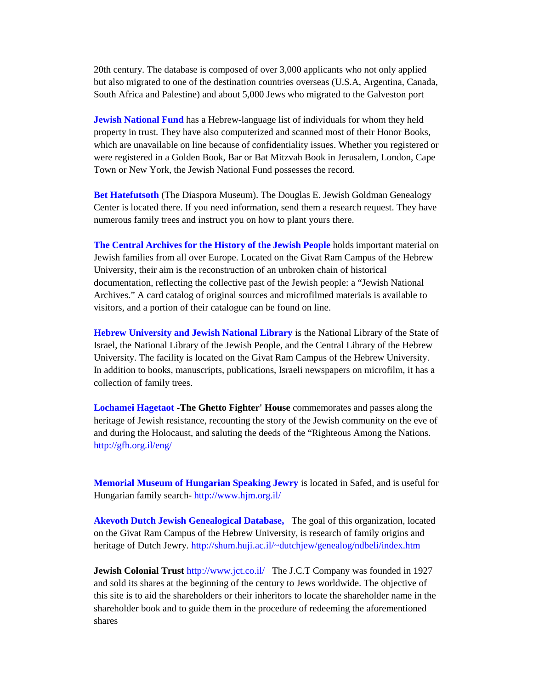20th century. The database is composed of over 3,000 applicants who not only applied but also migrated to one of the destination countries overseas (U.S.A, Argentina, Canada, South Africa and Palestine) and about 5,000 Jews who migrated to the Galveston port

**Jewish National Fund** has a Hebrew-language list of individuals for whom they held property in trust. They have also computerized and scanned most of their Honor Books, which are unavailable on line because of confidentiality issues. Whether you registered or were registered in a Golden Book, Bar or Bat Mitzvah Book in Jerusalem, London, Cape Town or New York, the Jewish National Fund possesses the record.

**Bet Hatefutsoth** (The Diaspora Museum). The Douglas E. Jewish Goldman Genealogy Center is located there. If you need information, send them a research request. They have numerous family trees and instruct you on how to plant yours there.

**The Central Archives for the History of the Jewish People** holds important material on Jewish families from all over Europe. Located on the Givat Ram Campus of the Hebrew University, their aim is the reconstruction of an unbroken chain of historical documentation, reflecting the collective past of the Jewish people: a "Jewish National Archives." A card catalog of original sources and microfilmed materials is available to visitors, and a portion of their catalogue can be found on line.

**Hebrew University and Jewish National Library** is the National Library of the State of Israel, the National Library of the Jewish People, and the Central Library of the Hebrew University. The facility is located on the Givat Ram Campus of the Hebrew University. In addition to books, manuscripts, publications, Israeli newspapers on microfilm, it has a collection of family trees.

**Lochamei Hagetaot -The Ghetto Fighter' House** commemorates and passes along the heritage of Jewish resistance, recounting the story of the Jewish community on the eve of and during the Holocaust, and saluting the deeds of the "Righteous Among the Nations. http://gfh.org.il/eng/

**Memorial Museum of Hungarian Speaking Jewry** is located in Safed, and is useful for Hungarian family search- http://www.hjm.org.il/

**Akevoth Dutch Jewish Genealogical Database,** The goal of this organization, located on the Givat Ram Campus of the Hebrew University, is research of family origins and heritage of Dutch Jewry. http://shum.huji.ac.il/~dutchjew/genealog/ndbeli/index.htm

**Jewish Colonial Trust** http://www.jct.co.il/ The J.C.T Company was founded in 1927 and sold its shares at the beginning of the century to Jews worldwide. The objective of this site is to aid the shareholders or their inheritors to locate the shareholder name in the shareholder book and to guide them in the procedure of redeeming the aforementioned shares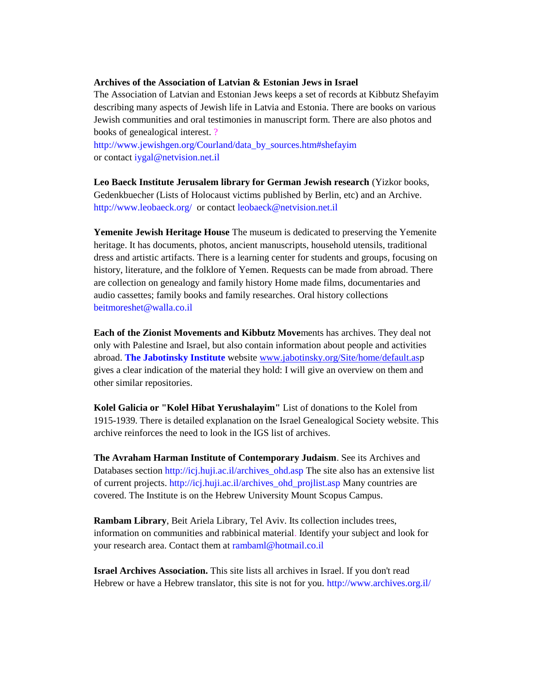#### **Archives of the Association of Latvian & Estonian Jews in Israel**

The Association of Latvian and Estonian Jews keeps a set of records at Kibbutz Shefayim describing many aspects of Jewish life in Latvia and Estonia. There are books on various Jewish communities and oral testimonies in manuscript form. There are also photos and books of genealogical interest. ?

http://www.jewishgen.org/Courland/data\_by\_sources.htm#shefayim or contact iygal@netvision.net.il

**Leo Baeck Institute Jerusalem library for German Jewish research** (Yizkor books, Gedenkbuecher (Lists of Holocaust victims published by Berlin, etc) and an Archive. http://www.leobaeck.org/ or contact leobaeck@netvision.net.il

**Yemenite Jewish Heritage House** The museum is dedicated to preserving the Yemenite heritage. It has documents, photos, ancient manuscripts, household utensils, traditional dress and artistic artifacts. There is a learning center for students and groups, focusing on history, literature, and the folklore of Yemen. Requests can be made from abroad. There are collection on genealogy and family history Home made films, documentaries and audio cassettes; family books and family researches. Oral history collections beitmoreshet@walla.co.il

**Each of the Zionist Movements and Kibbutz Move**ments has archives. They deal not only with Palestine and Israel, but also contain information about people and activities abroad. **The Jabotinsky Institute** website www.jabotinsky.org/Site/home/default.asp gives a clear indication of the material they hold: I will give an overview on them and other similar repositories.

**Kolel Galicia or "Kolel Hibat Yerushalayim"** List of donations to the Kolel from 1915-1939. There is detailed explanation on the Israel Genealogical Society website. This archive reinforces the need to look in the IGS list of archives.

**The Avraham Harman Institute of Contemporary Judaism**. See its Archives and Databases section http://icj.huji.ac.il/archives ohd.asp The site also has an extensive list of current projects. http://icj.huji.ac.il/archives\_ohd\_projlist.asp Many countries are covered. The Institute is on the Hebrew University Mount Scopus Campus.

**Rambam Library**, Beit Ariela Library, Tel Aviv. Its collection includes trees, information on communities and rabbinical material. Identify your subject and look for your research area. Contact them at rambaml@hotmail.co.il

**Israel Archives Association.** This site lists all archives in Israel. If you don't read Hebrew or have a Hebrew translator, this site is not for you. http://www.archives.org.il/